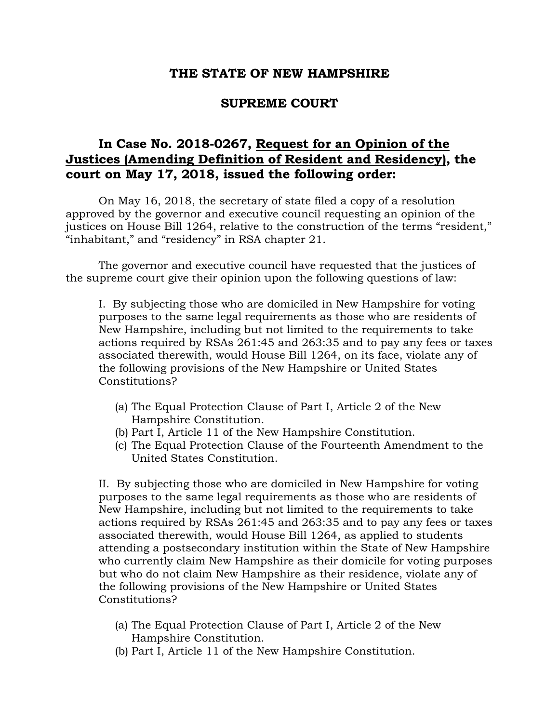## **THE STATE OF NEW HAMPSHIRE**

## **SUPREME COURT**

## **In Case No. 2018-0267, Request for an Opinion of the Justices (Amending Definition of Resident and Residency), the court on May 17, 2018, issued the following order:**

On May 16, 2018, the secretary of state filed a copy of a resolution approved by the governor and executive council requesting an opinion of the justices on House Bill 1264, relative to the construction of the terms "resident," "inhabitant," and "residency" in RSA chapter 21.

The governor and executive council have requested that the justices of the supreme court give their opinion upon the following questions of law:

I. By subjecting those who are domiciled in New Hampshire for voting purposes to the same legal requirements as those who are residents of New Hampshire, including but not limited to the requirements to take actions required by RSAs 261:45 and 263:35 and to pay any fees or taxes associated therewith, would House Bill 1264, on its face, violate any of the following provisions of the New Hampshire or United States Constitutions?

- (a) The Equal Protection Clause of Part I, Article 2 of the New Hampshire Constitution.
- (b) Part I, Article 11 of the New Hampshire Constitution.
- (c) The Equal Protection Clause of the Fourteenth Amendment to the United States Constitution.

II. By subjecting those who are domiciled in New Hampshire for voting purposes to the same legal requirements as those who are residents of New Hampshire, including but not limited to the requirements to take actions required by RSAs 261:45 and 263:35 and to pay any fees or taxes associated therewith, would House Bill 1264, as applied to students attending a postsecondary institution within the State of New Hampshire who currently claim New Hampshire as their domicile for voting purposes but who do not claim New Hampshire as their residence, violate any of the following provisions of the New Hampshire or United States Constitutions?

- (a) The Equal Protection Clause of Part I, Article 2 of the New Hampshire Constitution.
- (b) Part I, Article 11 of the New Hampshire Constitution.